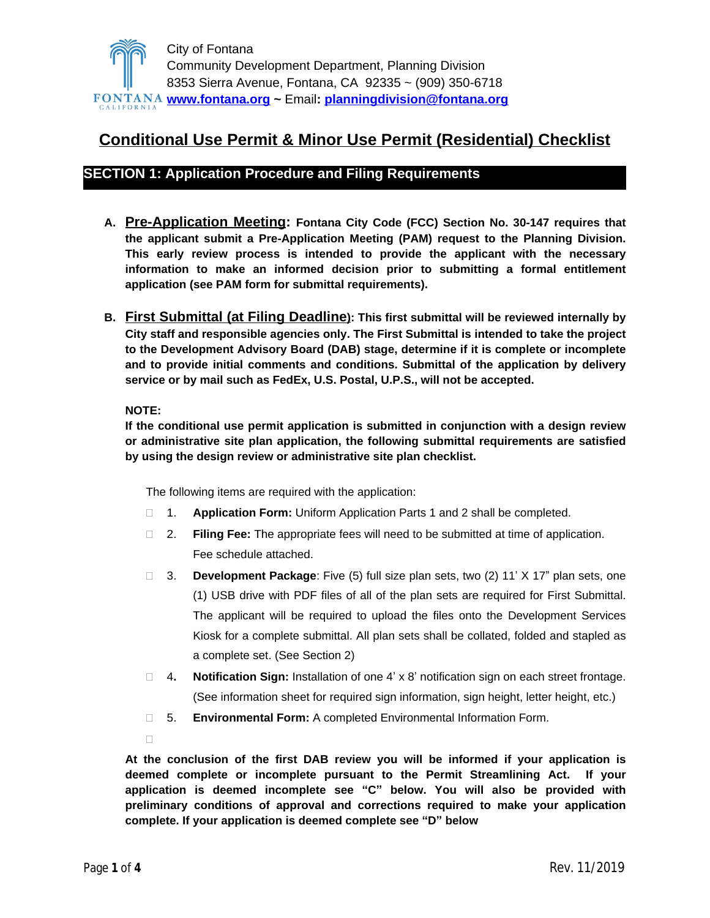

# **Conditional Use Permit & Minor Use Permit (Residential) Checklist**

### **SECTION 1: Application Procedure and Filing Requirements**

- **A. Pre-Application Meeting: Fontana City Code (FCC) Section No. 30-147 requires that the applicant submit a Pre-Application Meeting (PAM) request to the Planning Division. This early review process is intended to provide the applicant with the necessary information to make an informed decision prior to submitting a formal entitlement application (see PAM form for submittal requirements).**
- **B. First Submittal (at Filing Deadline): This first submittal will be reviewed internally by City staff and responsible agencies only. The First Submittal is intended to take the project to the Development Advisory Board (DAB) stage, determine if it is complete or incomplete and to provide initial comments and conditions. Submittal of the application by delivery service or by mail such as FedEx, U.S. Postal, U.P.S., will not be accepted.**

#### **NOTE:**

**If the conditional use permit application is submitted in conjunction with a design review or administrative site plan application, the following submittal requirements are satisfied by using the design review or administrative site plan checklist.**

The following items are required with the application:

- 1. **Application Form:** Uniform Application Parts 1 and 2 shall be completed.
- 2. **Filing Fee:** The appropriate fees will need to be submitted at time of application. Fee schedule attached.
- 3. **Development Package**: Five (5) full size plan sets, two (2) 11' X 17" plan sets, one (1) USB drive with PDF files of all of the plan sets are required for First Submittal. The applicant will be required to upload the files onto the Development Services Kiosk for a complete submittal. All plan sets shall be collated, folded and stapled as a complete set. (See Section 2)
- 4**. Notification Sign:** Installation of one 4' x 8' notification sign on each street frontage. (See information sheet for required sign information, sign height, letter height, etc.)
- 5. **Environmental Form:** A completed Environmental Information Form.
- $\Box$

**At the conclusion of the first DAB review you will be informed if your application is deemed complete or incomplete pursuant to the Permit Streamlining Act. If your application is deemed incomplete see "C" below. You will also be provided with preliminary conditions of approval and corrections required to make your application complete. If your application is deemed complete see "D" below**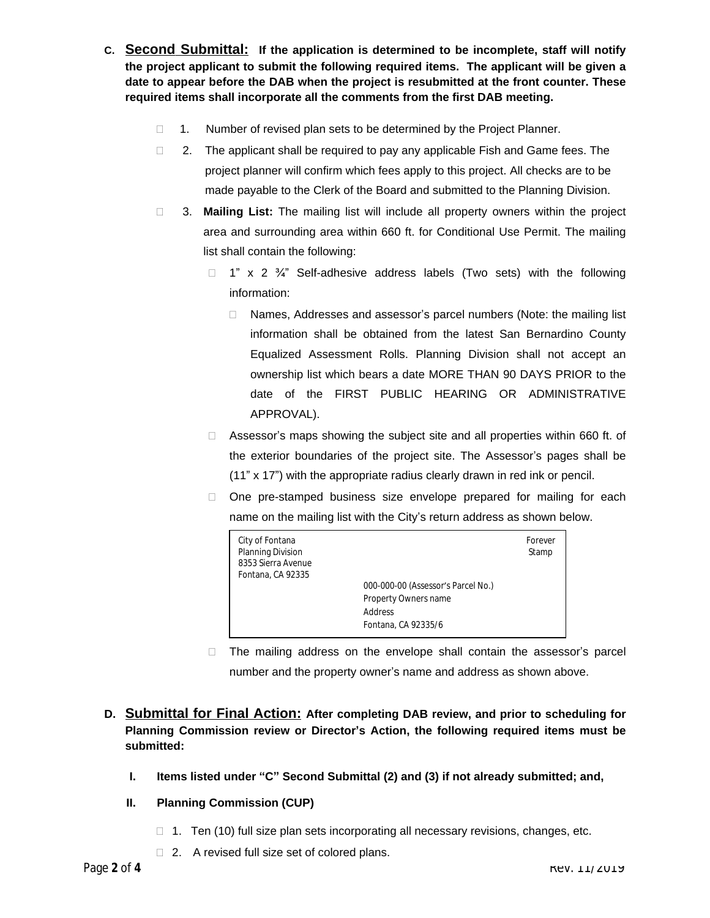- **C. Second Submittal: If the application is determined to be incomplete, staff will notify the project applicant to submit the following required items. The applicant will be given a date to appear before the DAB when the project is resubmitted at the front counter. These required items shall incorporate all the comments from the first DAB meeting.**
	- $\Box$  1. Number of revised plan sets to be determined by the Project Planner.
	- $\Box$  2. The applicant shall be required to pay any applicable Fish and Game fees. The project planner will confirm which fees apply to this project. All checks are to be made payable to the Clerk of the Board and submitted to the Planning Division.
	- 3. **Mailing List:** The mailing list will include all property owners within the project area and surrounding area within 660 ft. for Conditional Use Permit. The mailing list shall contain the following:
		- $\Box$  1" x 2  $\frac{3}{4}$ " Self-adhesive address labels (Two sets) with the following information:
			- □ Names, Addresses and assessor's parcel numbers (Note: the mailing list information shall be obtained from the latest San Bernardino County Equalized Assessment Rolls. Planning Division shall not accept an ownership list which bears a date MORE THAN 90 DAYS PRIOR to the date of the FIRST PUBLIC HEARING OR ADMINISTRATIVE APPROVAL).
		- $\Box$  Assessor's maps showing the subject site and all properties within 660 ft. of the exterior boundaries of the project site. The Assessor's pages shall be (11" x 17") with the appropriate radius clearly drawn in red ink or pencil.
		- □ One pre-stamped business size envelope prepared for mailing for each name on the mailing list with the City's return address as shown below.

| City of Fontana<br>Planning Division<br>8353 Sierra Avenue<br>Fontana, CA 92335 | 000-000-00 (Assessor's Parcel No.)<br>Property Owners name<br>Address<br>Fontana, CA 92335/6 | Forever<br>Stamp |
|---------------------------------------------------------------------------------|----------------------------------------------------------------------------------------------|------------------|
|---------------------------------------------------------------------------------|----------------------------------------------------------------------------------------------|------------------|

- $\Box$  The mailing address on the envelope shall contain the assessor's parcel number and the property owner's name and address as shown above.
- **D. Submittal for Final Action: After completing DAB review, and prior to scheduling for Planning Commission review or Director's Action, the following required items must be submitted:**
	- **I. Items listed under "C" Second Submittal (2) and (3) if not already submitted; and,**
	- **II. Planning Commission (CUP)**
		- $\Box$  1. Ten (10) full size plan sets incorporating all necessary revisions, changes, etc.
		- □ 2. A revised full size set of colored plans.